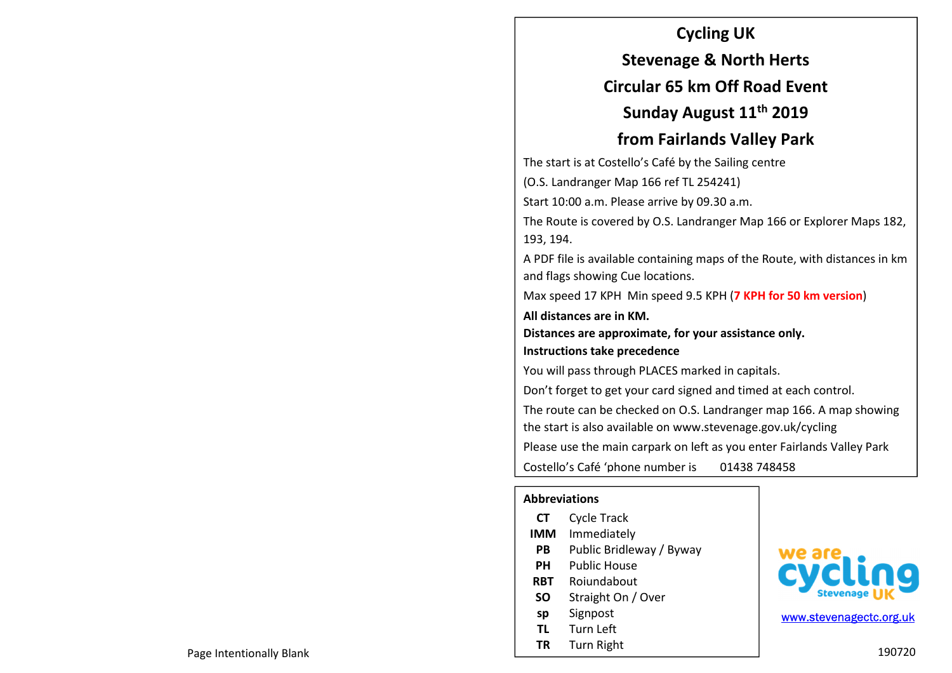#### **Cycling UK**

**Stevenage & North Herts** 

### **Circular 65 km Off Road Event**

**Sunday August 11th 2019** 

## **from Fairlands Valley Park**

The start is at Costello's Café by the Sailing centre

(O.S. Landranger Map 166 ref TL 254241)

Start 10:00 a.m. Please arrive by 09.30 a.m.

The Route is covered by O.S. Landranger Map 166 or Explorer Maps 182, 193, 194.

A PDF file is available containing maps of the Route, with distances in km and flags showing Cue locations.

Max speed 17 KPH Min speed 9.5 KPH (**7 KPH for 50 km version**)

**All distances are in KM.** 

**Distances are approximate, for your assistance only.** 

**Instructions take precedence** 

You will pass through PLACES marked in capitals.

Don't forget to get your card signed and timed at each control.

The route can be checked on O.S. Landranger map 166. A map showing the start is also available on www.stevenage.gov.uk/cycling

Please use the main carpark on left as you enter Fairlands Valley Park

Costello's Café 'phone number is 01438 748458

#### **Abbreviations**

| СT         | <b>Cycle Track</b>       |
|------------|--------------------------|
| <b>IMM</b> | Immediately              |
| РB         | Public Bridleway / Byway |
| PН         | Public House             |
| RBT        | Rojundabout              |
| SΟ         | Straight On / Over       |
| sp         | Signpost                 |
| TL         | Turn Left                |
| ΤR         | Turn Right               |



www.stevenagectc.org.uk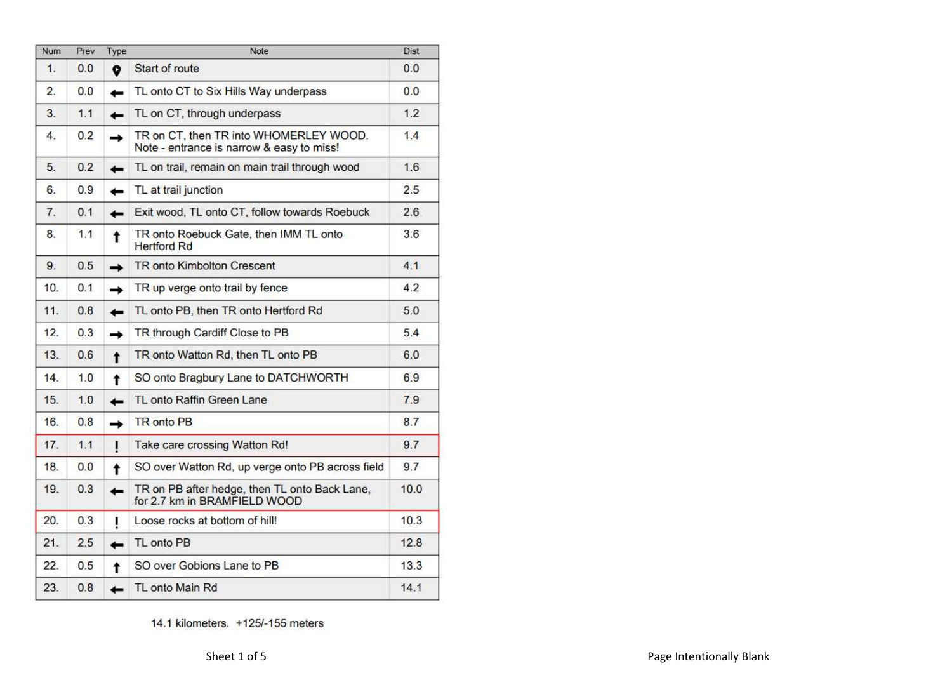| <b>Num</b>       | Prev | Type          | Note                                                                                | <b>Dist</b> |
|------------------|------|---------------|-------------------------------------------------------------------------------------|-------------|
| 1.               | 0.0  | ۰             | Start of route                                                                      | 0.0         |
| $\overline{2}$ . | 0.0  | $\leftarrow$  | TL onto CT to Six Hills Way underpass                                               | 0.0         |
| 3.               | 1.1  | ←             | TL on CT, through underpass                                                         | 1.2         |
| 4.               | 0.2  | $\rightarrow$ | TR on CT, then TR into WHOMERLEY WOOD.<br>Note - entrance is narrow & easy to miss! | 1.4         |
| 5.               | 0.2  | $\leftarrow$  | TL on trail, remain on main trail through wood                                      | 1.6         |
| 6.               | 0.9  | ←             | TL at trail junction                                                                | 2.5         |
| 7.               | 0.1  | ←             | Exit wood, TL onto CT, follow towards Roebuck                                       | 2.6         |
| 8.               | 1.1  | t             | TR onto Roebuck Gate, then IMM TL onto<br><b>Hertford Rd</b>                        | 3.6         |
| 9.               | 0.5  | $\rightarrow$ | <b>TR onto Kimbolton Crescent</b>                                                   | 4.1         |
| 10.              | 0.1  | →             | TR up verge onto trail by fence                                                     | 4.2         |
| 11.              | 0.8  | $\leftarrow$  | TL onto PB, then TR onto Hertford Rd                                                | 5.0         |
| 12.              | 0.3  | $\rightarrow$ | TR through Cardiff Close to PB                                                      | 5.4         |
| 13.              | 0.6  | $\bullet$     | TR onto Watton Rd, then TL onto PB                                                  | 6.0         |
| 14.              | 1.0  | $\ddagger$    | SO onto Bragbury Lane to DATCHWORTH                                                 | 6.9         |
| 15.              | 1.0  | ـــ           | TL onto Raffin Green Lane                                                           | 7.9         |
| 16.              | 0.8  | ∸             | <b>TR</b> onto PB                                                                   | 8.7         |
| 17.              | 1.1  | L             | Take care crossing Watton Rd!                                                       | 9.7         |
| 18.              | 0.0  | t             | SO over Watton Rd, up verge onto PB across field                                    | 9.7         |
| 19.              | 0.3  | -             | TR on PB after hedge, then TL onto Back Lane,<br>for 2.7 km in BRAMFIELD WOOD       | 10.0        |
| 20.              | 0.3  | L             | Loose rocks at bottom of hill!                                                      | 10.3        |
| 21.              | 2.5  | -             | TL onto PB                                                                          | 12.8        |
| 22.              | 0.5  | $\ddagger$    | SO over Gobions Lane to PB                                                          | 13.3        |
| 23.              | 0.8  | <b>1</b>      | TL onto Main Rd                                                                     | 14.1        |

14.1 kilometers. +125/-155 meters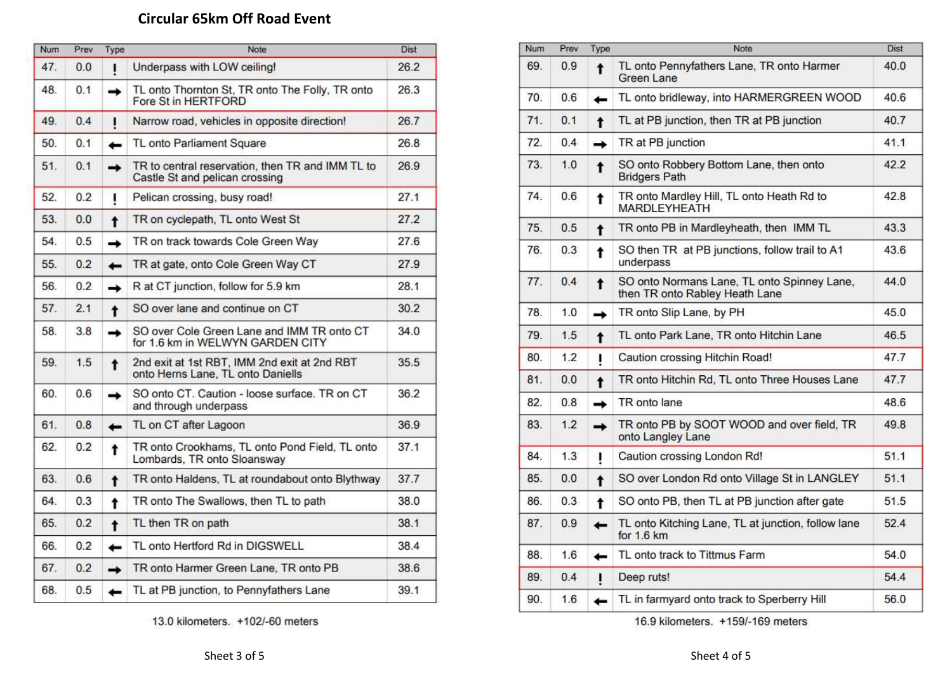# **Circular 65km Off Road Event**

| Num | Prev | Type                | Note                                                                               | Dist |
|-----|------|---------------------|------------------------------------------------------------------------------------|------|
| 47. | 0.0  | ı                   | Underpass with LOW ceiling!                                                        | 26.2 |
| 48. | 0.1  | →                   | TL onto Thornton St, TR onto The Folly, TR onto<br>Fore St in HERTFORD             | 26.3 |
| 49. | 0.4  | ı                   | Narrow road, vehicles in opposite direction!                                       | 26.7 |
| 50. | 0.1  | $\leftarrow$        | TL onto Parliament Square                                                          | 26.8 |
| 51. | 0.1  | $\rightarrow$       | TR to central reservation, then TR and IMM TL to<br>Castle St and pelican crossing | 26.9 |
| 52. | 0.2  | ţ                   | Pelican crossing, busy road!                                                       | 27.1 |
| 53. | 0.0  | $\ddot{\mathbf{r}}$ | TR on cyclepath, TL onto West St                                                   | 27.2 |
| 54. | 0.5  | $\rightarrow$       | TR on track towards Cole Green Way                                                 | 27.6 |
| 55. | 0.2  | $\leftarrow$        | TR at gate, onto Cole Green Way CT                                                 | 27.9 |
| 56. | 0.2  | $\rightarrow$       | R at CT junction, follow for 5.9 km                                                | 28.1 |
| 57. | 2.1  | $\ddagger$          | SO over lane and continue on CT                                                    | 30.2 |
| 58. | 3.8  | ↠                   | SO over Cole Green Lane and IMM TR onto CT<br>for 1.6 km in WELWYN GARDEN CITY     | 34.0 |
| 59. | 1.5  | $\ddagger$          | 2nd exit at 1st RBT, IMM 2nd exit at 2nd RBT<br>onto Herns Lane, TL onto Daniells  | 35.5 |
| 60. | 0.6  | ↠                   | SO onto CT. Caution - loose surface. TR on CT<br>and through underpass             | 36.2 |
| 61. | 0.8  | $\leftarrow$        | TL on CT after Lagoon                                                              | 36.9 |
| 62. | 0.2  | ŧ                   | TR onto Crookhams, TL onto Pond Field, TL onto<br>Lombards, TR onto Sloansway      | 37.1 |
| 63. | 0.6  | t                   | TR onto Haldens, TL at roundabout onto Blythway                                    | 37.7 |
| 64. | 0.3  | t                   | TR onto The Swallows, then TL to path                                              | 38.0 |
| 65. | 0.2  | $\ddagger$          | TL then TR on path                                                                 | 38.1 |
| 66. | 0.2  | ←                   | TL onto Hertford Rd in DIGSWELL                                                    | 38.4 |
| 67. | 0.2  | $\rightarrow$       | TR onto Harmer Green Lane, TR onto PB                                              | 38.6 |
| 68. | 0.5  | ←                   | TL at PB junction, to Pennyfathers Lane                                            | 39.1 |

13.0 kilometers. +102/-60 meters

| Num | Prev | Type                | Note                                                                          | Dist |
|-----|------|---------------------|-------------------------------------------------------------------------------|------|
| 69. | 0.9  | $\ddagger$          | TL onto Pennyfathers Lane, TR onto Harmer<br>Green Lane                       | 40.0 |
| 70. | 0.6  | ←                   | TL onto bridleway, into HARMERGREEN WOOD                                      | 40.6 |
| 71. | 0.1  | $\ddagger$          | TL at PB junction, then TR at PB junction                                     | 40.7 |
| 72. | 0.4  | →                   | TR at PB junction                                                             | 41.1 |
| 73. | 1.0  | $\ddagger$          | SO onto Robbery Bottom Lane, then onto<br><b>Bridgers Path</b>                | 42.2 |
| 74. | 0.6  | t                   | TR onto Mardley Hill, TL onto Heath Rd to<br><b>MARDLEYHEATH</b>              | 42.8 |
| 75. | 0.5  | t                   | TR onto PB in Mardleyheath, then IMM TL                                       | 43.3 |
| 76. | 0.3  | t                   | SO then TR at PB junctions, follow trail to A1<br>underpass                   | 43.6 |
| 77. | 0.4  | $\ddagger$          | SO onto Normans Lane, TL onto Spinney Lane,<br>then TR onto Rabley Heath Lane | 44.0 |
| 78. | 1.0  | →                   | TR onto Slip Lane, by PH                                                      | 45.0 |
| 79. | 1.5  | $\ddagger$          | TL onto Park Lane, TR onto Hitchin Lane                                       | 46.5 |
| 80. | 1.2  | ı                   | Caution crossing Hitchin Road!                                                | 47.7 |
| 81. | 0.0  | $\ddot{\mathbf{r}}$ | TR onto Hitchin Rd, TL onto Three Houses Lane                                 | 47.7 |
| 82. | 0.8  | →                   | TR onto lane                                                                  | 48.6 |
| 83. | 1.2  | →                   | TR onto PB by SOOT WOOD and over field, TR<br>onto Langley Lane               | 49.8 |
| 84. | 1.3  | ï                   | Caution crossing London Rd!                                                   | 51.1 |
| 85. | 0.0  | $\ddagger$          | SO over London Rd onto Village St in LANGLEY                                  | 51.1 |
| 86. | 0.3  | t                   | SO onto PB, then TL at PB junction after gate                                 | 51.5 |
| 87. | 0.9  | ←                   | TL onto Kitching Lane, TL at junction, follow lane<br>for $1.6 \text{ km}$    | 52.4 |
| 88. | 1.6  | ←                   | TL onto track to Tittmus Farm                                                 | 54.0 |
| 89. | 0.4  | Ţ                   | Deep ruts!                                                                    | 54.4 |
| 90. | 1.6  | ←                   | TL in farmyard onto track to Sperberry Hill                                   | 56.0 |
|     |      |                     |                                                                               |      |

16.9 kilometers. +159/-169 meters